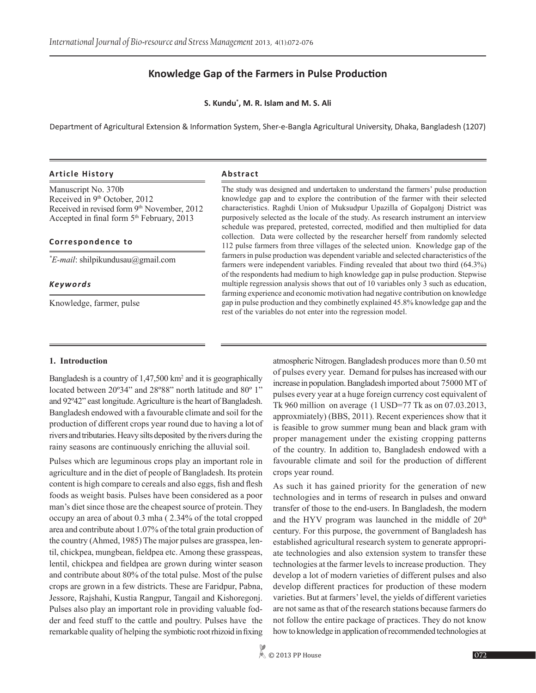# **Knowledge Gap of the Farmers in Pulse Production**

**S. Kundu\* , M. R. Islam and M. S. Ali**

Department of Agricultural Extension & Information System, Sher-e-Bangla Agricultural University, Dhaka, Bangladesh (1207)

#### **Article History Abstract**

Manuscript No. 370b Received in 9<sup>th</sup> October, 2012 Received in revised form 9<sup>th</sup> November, 2012 Accepted in final form 5<sup>th</sup> February, 2013

#### **Correspondence to**

*\* E-mail*: shilpikundusau@gmail.com

*Keywords*

Knowledge, farmer, pulse

#### The study was designed and undertaken to understand the farmers' pulse production knowledge gap and to explore the contribution of the farmer with their selected characteristics. Raghdi Union of Muksudpur Upazilla of Gopalgonj District was purposively selected as the locale of the study. As research instrument an interview schedule was prepared, pretested, corrected, modified and then multiplied for data collection. Data were collected by the researcher herself from randomly selected 112 pulse farmers from three villages of the selected union. Knowledge gap of the farmers in pulse production was dependent variable and selected characteristics of the farmers were independent variables. Finding revealed that about two third (64.3%) of the respondents had medium to high knowledge gap in pulse production. Stepwise multiple regression analysis shows that out of 10 variables only 3 such as education, farming experience and economic motivation had negative contribution on knowledge gap in pulse production and they combinetly explained 45.8% knowledge gap and the

rest of the variables do not enter into the regression model.

#### **1. Introduction**

Bangladesh is a country of 1,47,500 km<sup>2</sup> and it is geographically located between 20º34" and 28º88" north latitude and 80º 1" and 92º42" east longitude. Agriculture is the heart of Bangladesh. Bangladesh endowed with a favourable climate and soil for the production of different crops year round due to having a lot of rivers and tributaries. Heavy silts deposited by the rivers during the rainy seasons are continuously enriching the alluvial soil.

Pulses which are leguminous crops play an important role in agriculture and in the diet of people of Bangladesh. Its protein content is high compare to cereals and also eggs, fish and flesh foods as weight basis. Pulses have been considered as a poor man's diet since those are the cheapest source of protein. They occupy an area of about 0.3 mha ( 2.34% of the total cropped area and contribute about 1.07% of the total grain production of the country (Ahmed, 1985) The major pulses are grasspea, lentil, chickpea, mungbean, fieldpea etc. Among these grasspeas, lentil, chickpea and fieldpea are grown during winter season and contribute about 80% of the total pulse. Most of the pulse crops are grown in a few districts. These are Faridpur, Pabna, Jessore, Rajshahi, Kustia Rangpur, Tangail and Kishoregonj. Pulses also play an important role in providing valuable fodder and feed stuff to the cattle and poultry. Pulses have the remarkable quality of helping the symbiotic root rhizoid in fixing

atmospheric Nitrogen. Bangladesh produces more than 0.50 mt of pulses every year. Demand for pulses has increased with our increase in population. Bangladesh imported about 75000 MT of pulses every year at a huge foreign currency cost equivalent of Tk 960 million on average (1 USD=77 Tk as on 07.03.2013, approxmiately) (BBS, 2011). Recent experiences show that it is feasible to grow summer mung bean and black gram with proper management under the existing cropping patterns of the country. In addition to, Bangladesh endowed with a favourable climate and soil for the production of different crops year round.

As such it has gained priority for the generation of new technologies and in terms of research in pulses and onward transfer of those to the end-users. In Bangladesh, the modern and the HYV program was launched in the middle of  $20<sup>th</sup>$ century. For this purpose, the government of Bangladesh has established agricultural research system to generate appropriate technologies and also extension system to transfer these technologies at the farmer levels to increase production. They develop a lot of modern varieties of different pulses and also develop different practices for production of these modern varieties. But at farmers' level, the yields of different varieties are not same as that of the research stations because farmers do not follow the entire package of practices. They do not know how to knowledge in application of recommended technologies at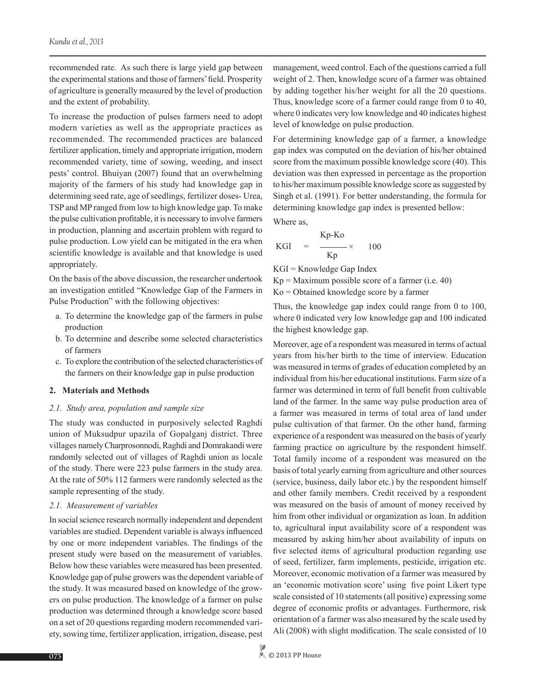recommended rate. As such there is large yield gap between the experimental stations and those of farmers' field. Prosperity of agriculture is generally measured by the level of production and the extent of probability.

To increase the production of pulses farmers need to adopt modern varieties as well as the appropriate practices as recommended. The recommended practices are balanced fertilizer application, timely and appropriate irrigation, modern recommended variety, time of sowing, weeding, and insect pests' control. Bhuiyan (2007) found that an overwhelming majority of the farmers of his study had knowledge gap in determining seed rate, age of seedlings, fertilizer doses- Urea, TSP and MP ranged from low to high knowledge gap. To make the pulse cultivation profitable, it is necessary to involve farmers in production, planning and ascertain problem with regard to pulse production. Low yield can be mitigated in the era when scientific knowledge is available and that knowledge is used appropriately.

On the basis of the above discussion, the researcher undertook an investigation entitled "Knowledge Gap of the Farmers in Pulse Production" with the following objectives:

- a. To determine the knowledge gap of the farmers in pulse production
- b. To determine and describe some selected characteristics of farmers
- c. To explore the contribution of the selected characteristics of the farmers on their knowledge gap in pulse production

### **2. Materials and Methods**

#### *2.1. Study area, population and sample size*

The study was conducted in purposively selected Raghdi union of Muksudpur upazila of Gopalganj district. Three villages namely Charprosonnodi, Raghdi and Domrakandi were randomly selected out of villages of Raghdi union as locale of the study. There were 223 pulse farmers in the study area. At the rate of 50% 112 farmers were randomly selected as the sample representing of the study.

#### *2.1. Measurement of variables*

In social science research normally independent and dependent variables are studied. Dependent variable is always influenced by one or more independent variables. The findings of the present study were based on the measurement of variables. Below how these variables were measured has been presented. Knowledge gap of pulse growers was the dependent variable of the study. It was measured based on knowledge of the growers on pulse production. The knowledge of a farmer on pulse production was determined through a knowledge score based on a set of 20 questions regarding modern recommended variety, sowing time, fertilizer application, irrigation, disease, pest

management, weed control. Each of the questions carried a full weight of 2. Then, knowledge score of a farmer was obtained by adding together his/her weight for all the 20 questions. Thus, knowledge score of a farmer could range from 0 to 40, where 0 indicates very low knowledge and 40 indicates highest level of knowledge on pulse production.

For determining knowledge gap of a farmer, a knowledge gap index was computed on the deviation of his/her obtained score from the maximum possible knowledge score (40). This deviation was then expressed in percentage as the proportion to his/her maximum possible knowledge score as suggested by Singh et al. (1991). For better understanding, the formula for determining knowledge gap index is presented bellow:

Where as,

$$
KGI = \frac{Kp-Ko}{Kp} \times 100
$$

KGI = Knowledge Gap Index

 $Kp =$ Maximum possible score of a farmer (i.e. 40) Ko = Obtained knowledge score by a farmer

Thus, the knowledge gap index could range from 0 to 100, where 0 indicated very low knowledge gap and 100 indicated the highest knowledge gap.

Moreover, age of a respondent was measured in terms of actual years from his/her birth to the time of interview. Education was measured in terms of grades of education completed by an individual from his/her educational institutions. Farm size of a farmer was determined in term of full benefit from cultivable land of the farmer. In the same way pulse production area of a farmer was measured in terms of total area of land under pulse cultivation of that farmer. On the other hand, farming experience of a respondent was measured on the basis of yearly farming practice on agriculture by the respondent himself. Total family income of a respondent was measured on the basis of total yearly earning from agriculture and other sources (service, business, daily labor etc.) by the respondent himself and other family members. Credit received by a respondent was measured on the basis of amount of money received by him from other individual or organization as loan. In addition to, agricultural input availability score of a respondent was measured by asking him/her about availability of inputs on five selected items of agricultural production regarding use of seed, fertilizer, farm implements, pesticide, irrigation etc. Moreover, economic motivation of a farmer was measured by an 'economic motivation score' using five point Likert type scale consisted of 10 statements (all positive) expressing some degree of economic profits or advantages. Furthermore, risk orientation of a farmer was also measured by the scale used by Ali (2008) with slight modification. The scale consisted of 10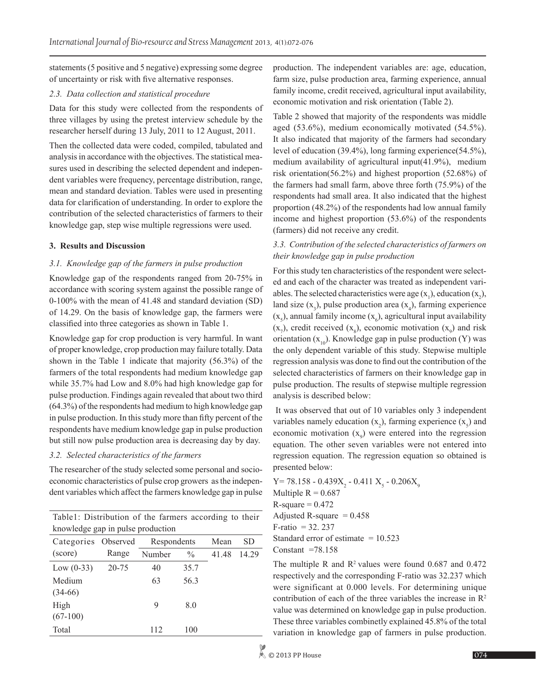statements (5 positive and 5 negative) expressing some degree of uncertainty or risk with five alternative responses.

### *2.3. Data collection and statistical procedure*

Data for this study were collected from the respondents of three villages by using the pretest interview schedule by the researcher herself during 13 July, 2011 to 12 August, 2011.

Then the collected data were coded, compiled, tabulated and analysis in accordance with the objectives. The statistical measures used in describing the selected dependent and independent variables were frequency, percentage distribution, range, mean and standard deviation. Tables were used in presenting data for clarification of understanding. In order to explore the contribution of the selected characteristics of farmers to their knowledge gap, step wise multiple regressions were used.

### **3. Results and Discussion**

### *3.1. Knowledge gap of the farmers in pulse production*

Knowledge gap of the respondents ranged from 20-75% in accordance with scoring system against the possible range of 0-100% with the mean of 41.48 and standard deviation (SD) of 14.29. On the basis of knowledge gap, the farmers were classified into three categories as shown in Table 1.

Knowledge gap for crop production is very harmful. In want of proper knowledge, crop production may failure totally. Data shown in the Table 1 indicate that majority (56.3%) of the farmers of the total respondents had medium knowledge gap while 35.7% had Low and 8.0% had high knowledge gap for pulse production. Findings again revealed that about two third (64.3%) of the respondents had medium to high knowledge gap in pulse production. In this study more than fifty percent of the respondents have medium knowledge gap in pulse production but still now pulse production area is decreasing day by day.

### *3.2. Selected characteristics of the farmers*

The researcher of the study selected some personal and socioeconomic characteristics of pulse crop growers as the independent variables which affect the farmers knowledge gap in pulse

| Table1: Distribution of the farmers according to their<br>knowledge gap in pulse production |       |             |               |       |       |  |  |
|---------------------------------------------------------------------------------------------|-------|-------------|---------------|-------|-------|--|--|
| Categories Observed                                                                         |       | Respondents |               | Mean  | SD    |  |  |
| (score)                                                                                     | Range | Number      | $\frac{0}{0}$ | 41.48 | 14.29 |  |  |
| Low $(0-33)$                                                                                | 20-75 | 40          | 35.7          |       |       |  |  |
| Medium                                                                                      |       | 63          | 56.3          |       |       |  |  |
| $(34-66)$                                                                                   |       |             |               |       |       |  |  |
| High                                                                                        |       | 9           | 8.0           |       |       |  |  |
| $(67-100)$                                                                                  |       |             |               |       |       |  |  |
| Total                                                                                       |       | 112         | 100           |       |       |  |  |

production. The independent variables are: age, education, farm size, pulse production area, farming experience, annual family income, credit received, agricultural input availability, economic motivation and risk orientation (Table 2).

Table 2 showed that majority of the respondents was middle aged (53.6%), medium economically motivated (54.5%). It also indicated that majority of the farmers had secondary level of education (39.4%), long farming experience(54.5%), medium availability of agricultural input(41.9%), medium risk orientation(56.2%) and highest proportion (52.68%) of the farmers had small farm, above three forth (75.9%) of the respondents had small area. It also indicated that the highest proportion (48.2%) of the respondents had low annual family income and highest proportion (53.6%) of the respondents (farmers) did not receive any credit.

# *3.3. Contribution of the selected characteristics of farmers on their knowledge gap in pulse production*

For this study ten characteristics of the respondent were selected and each of the character was treated as independent variables. The selected characteristics were age  $(x_1)$ , education  $(x_2)$ , land size  $(x_3)$ , pulse production area  $(x_4)$ , farming experience  $(x_5)$ , annual family income  $(x_6)$ , agricultural input availability  $(x_7)$ , credit received  $(x_8)$ , economic motivation  $(x_9)$  and risk orientation  $(x_{10})$ . Knowledge gap in pulse production  $(Y)$  was the only dependent variable of this study. Stepwise multiple regression analysis was done to find out the contribution of the selected characteristics of farmers on their knowledge gap in pulse production. The results of stepwise multiple regression analysis is described below:

 It was observed that out of 10 variables only 3 independent variables namely education  $(x_2)$ , farming experience  $(x_5)$  and economic motivation  $(x_9)$  were entered into the regression equation. The other seven variables were not entered into regression equation. The regression equation so obtained is presented below:

 $Y= 78.158 - 0.439X_2 - 0.411X_5 - 0.206X_9$ Multiple  $R = 0.687$  $R$ -square = 0.472 Adjusted R-square  $= 0.458$  $F$ -ratio = 32. 237 Standard error of estimate  $= 10.523$ Constant  $=78.158$ 

The multiple R and  $\mathbb{R}^2$  values were found 0.687 and 0.472 respectively and the corresponding F-ratio was 32.237 which were significant at 0.000 levels. For determining unique contribution of each of the three variables the increase in  $\mathbb{R}^2$ value was determined on knowledge gap in pulse production. These three variables combinetly explained 45.8% of the total variation in knowledge gap of farmers in pulse production.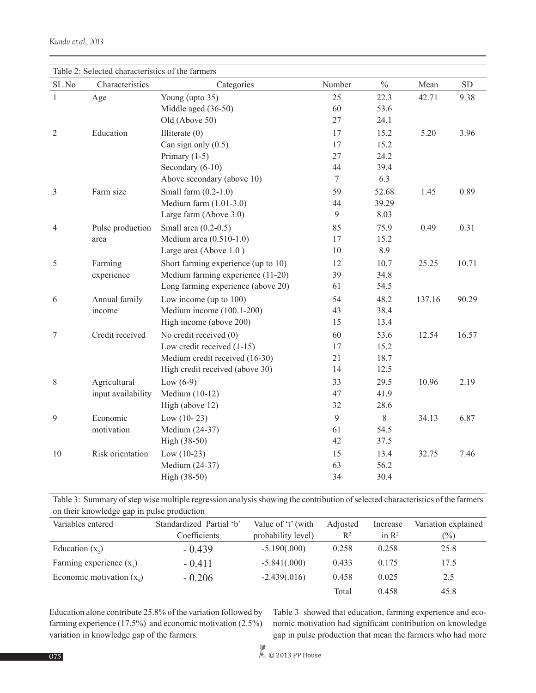| Table 2: Selected characteristics of the farmers |                    |                                     |                |               |        |           |  |
|--------------------------------------------------|--------------------|-------------------------------------|----------------|---------------|--------|-----------|--|
| SL.No                                            | Characteristics    | Categories                          | Number         | $\frac{0}{0}$ | Mean   | <b>SD</b> |  |
| $\mathbf{1}$                                     | Age                | Young (upto 35)                     | 25             | 22.3          | 42.71  | 9.38      |  |
|                                                  |                    | Middle aged (36-50)                 | 60             | 53.6          |        |           |  |
|                                                  |                    | Old (Above 50)                      | 27             | 24.1          |        |           |  |
| Education<br>$\overline{2}$                      |                    | Illiterate $(0)$                    | 17             | 15.2          | 5.20   | 3.96      |  |
|                                                  |                    | Can sign only $(0.5)$               | 17             | 15.2          |        |           |  |
|                                                  |                    | Primary $(1-5)$                     | 27             | 24.2          |        |           |  |
|                                                  |                    | Secondary (6-10)                    | 44             | 39.4          |        |           |  |
|                                                  |                    | Above secondary (above 10)          | $\tau$         | 6.3           |        |           |  |
| 3                                                | Farm size          | Small farm $(0.2-1.0)$              | 59             | 52.68         | 1.45   | 0.89      |  |
|                                                  |                    | Medium farm $(1.01-3.0)$            | 44             | 39.29         |        |           |  |
|                                                  |                    | Large farm (Above 3.0)              | $\mathfrak{g}$ | 8.03          |        |           |  |
| $\overline{4}$                                   | Pulse production   | Small area $(0.2-0.5)$              | 85             | 75.9          | 0.49   | 0.31      |  |
|                                                  | area               | Medium area (0.510-1.0)             | 17             | 15.2          |        |           |  |
|                                                  |                    | Large area (Above 1.0)              | 10             | 8.9           |        |           |  |
| 5                                                | Farming            | Short farming experience (up to 10) | 12             | 10.7          | 25.25  | 10.71     |  |
|                                                  | experience         | Medium farming experience (11-20)   | 39             | 34.8          |        |           |  |
|                                                  |                    | Long farming experience (above 20)  | 61             | 54.5          |        |           |  |
| 6                                                | Annual family      | Low income (up to $100$ )           | 54             | 48.2          | 137.16 | 90.29     |  |
|                                                  | income             | Medium income (100.1-200)           | 43             | 38.4          |        |           |  |
|                                                  |                    | High income (above 200)             | 15             | 13.4          |        |           |  |
| 7                                                | Credit received    | No credit received (0)              | 60             | 53.6          | 12.54  | 16.57     |  |
|                                                  |                    | Low credit received (1-15)          | 17             | 15.2          |        |           |  |
|                                                  |                    | Medium credit received (16-30)      | 21             | 18.7          |        |           |  |
|                                                  |                    | High credit received (above 30)     | 14             | 12.5          |        |           |  |
| 8                                                | Agricultural       | Low $(6-9)$                         | 33             | 29.5          | 10.96  | 2.19      |  |
|                                                  | input availability | Medium (10-12)                      | 47             | 41.9          |        |           |  |
|                                                  |                    | High (above 12)                     | 32             | 28.6          |        |           |  |
| 9                                                | Economic           | Low $(10-23)$                       | 9              | $\,8\,$       | 34.13  | 6.87      |  |
|                                                  | motivation         | Medium (24-37)                      | 61             | 54.5          |        |           |  |
|                                                  |                    | High (38-50)                        | 42             | 37.5          |        |           |  |
| 10                                               | Risk orientation   | Low $(10-23)$                       | 15             | 13.4          | 32.75  | 7.46      |  |
|                                                  |                    | Medium (24-37)                      | 63             | 56.2          |        |           |  |
|                                                  |                    | High (38-50)                        | 34             | 30.4          |        |           |  |

Table 3: Summary of step wise multiple regression analysis showing the contribution of selected characteristics of the farmers on their knowledge gap in pulse production

| Variables entered           | Standardized Partial 'b' | Value of 't' (with | Adjusted       | Increase          | Variation explained |  |
|-----------------------------|--------------------------|--------------------|----------------|-------------------|---------------------|--|
|                             | Coefficients             | probability level) | $\mathbb{R}^2$ | in $\mathbb{R}^2$ | $(\%)$              |  |
| Education $(x_2)$           | $-0.439$                 | $-5.190(.000)$     | 0.258          | 0.258             | 25.8                |  |
| Farming experience $(x_5)$  | $-0.411$                 | $-5.841(.000)$     | 0.433          | 0.175             | 17.5                |  |
| Economic motivation $(x_0)$ | $-0.206$                 | $-2.439(.016)$     | 0.458          | 0.025             | 2.5                 |  |
|                             |                          |                    | Total          | 0.458             | 45.8                |  |

Education alone contribute 25.8% of the variation followed by farming experience (17.5%) and economic motivation (2.5%) variation in knowledge gap of the farmers.

Table 3 showed that education, farming experience and economic motivation had significant contribution on knowledge gap in pulse production that mean the farmers who had more